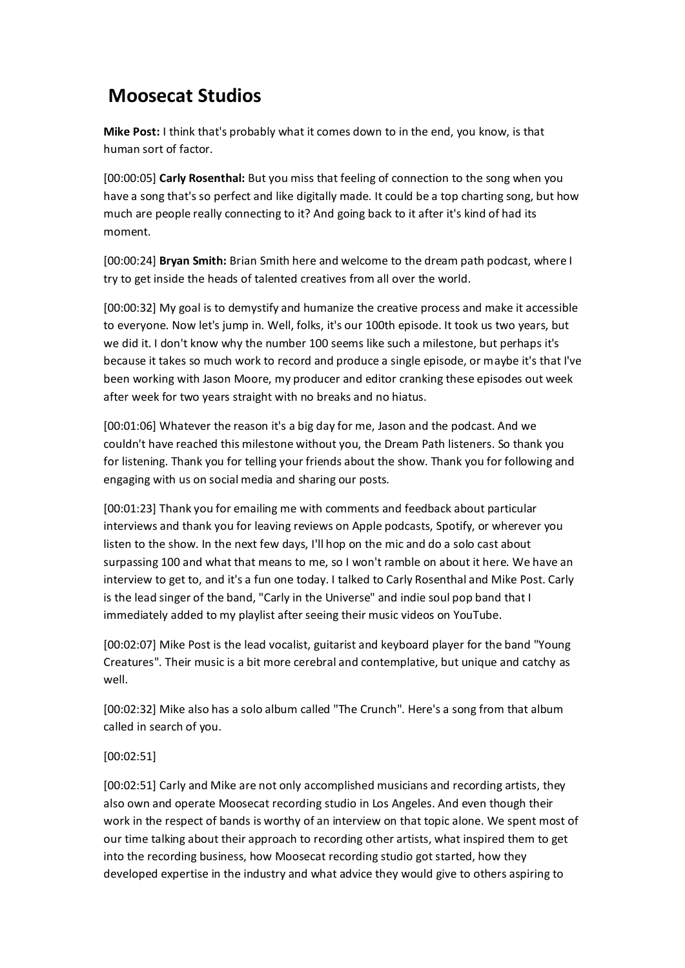## **Moosecat Studios**

**Mike Post:** I think that's probably what it comes down to in the end, you know, is that human sort of factor.

[00:00:05] **Carly Rosenthal:** But you miss that feeling of connection to the song when you have a song that's so perfect and like digitally made. It could be a top charting song, but how much are people really connecting to it? And going back to it after it's kind of had its moment.

[00:00:24] **Bryan Smith:** Brian Smith here and welcome to the dream path podcast, where I try to get inside the heads of talented creatives from all over the world.

[00:00:32] My goal is to demystify and humanize the creative process and make it accessible to everyone. Now let's jump in. Well, folks, it's our 100th episode. It took us two years, but we did it. I don't know why the number 100 seems like such a milestone, but perhaps it's because it takes so much work to record and produce a single episode, or maybe it's that I've been working with Jason Moore, my producer and editor cranking these episodes out week after week for two years straight with no breaks and no hiatus.

[00:01:06] Whatever the reason it's a big day for me, Jason and the podcast. And we couldn't have reached this milestone without you, the Dream Path listeners. So thank you for listening. Thank you for telling your friends about the show. Thank you for following and engaging with us on social media and sharing our posts.

[00:01:23] Thank you for emailing me with comments and feedback about particular interviews and thank you for leaving reviews on Apple podcasts, Spotify, or wherever you listen to the show. In the next few days, I'll hop on the mic and do a solo cast about surpassing 100 and what that means to me, so I won't ramble on about it here. We have an interview to get to, and it's a fun one today. I talked to Carly Rosenthal and Mike Post. Carly is the lead singer of the band, "Carly in the Universe" and indie soul pop band that I immediately added to my playlist after seeing their music videos on YouTube.

[00:02:07] Mike Post is the lead vocalist, guitarist and keyboard player for the band "Young Creatures". Their music is a bit more cerebral and contemplative, but unique and catchy as well.

[00:02:32] Mike also has a solo album called "The Crunch". Here's a song from that album called in search of you.

## [00:02:51]

[00:02:51] Carly and Mike are not only accomplished musicians and recording artists, they also own and operate Moosecat recording studio in Los Angeles. And even though their work in the respect of bands is worthy of an interview on that topic alone. We spent most of our time talking about their approach to recording other artists, what inspired them to get into the recording business, how Moosecat recording studio got started, how they developed expertise in the industry and what advice they would give to others aspiring to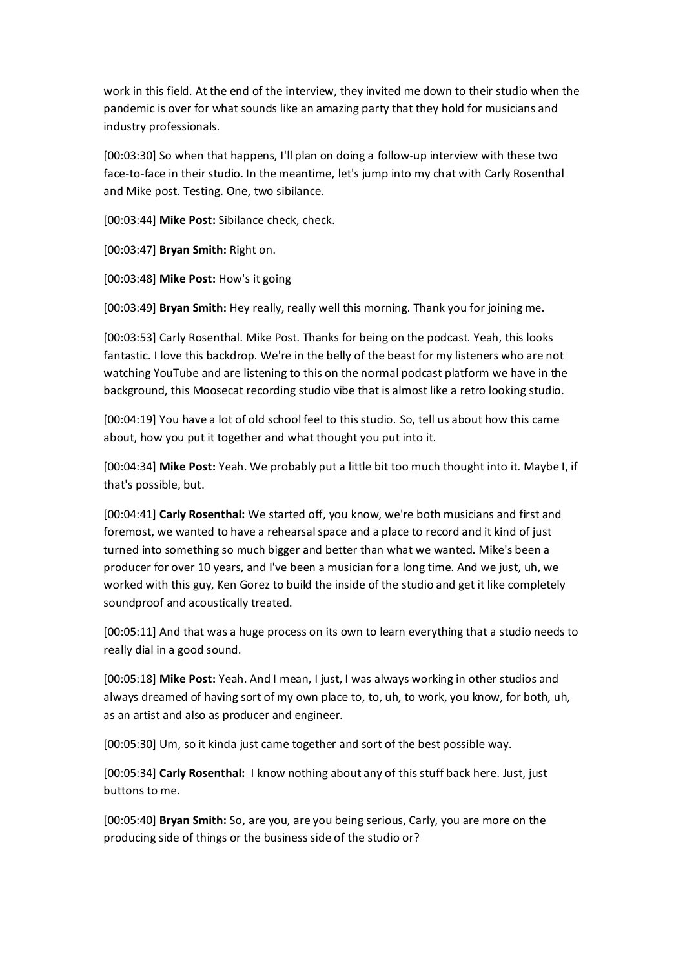work in this field. At the end of the interview, they invited me down to their studio when the pandemic is over for what sounds like an amazing party that they hold for musicians and industry professionals.

[00:03:30] So when that happens, I'll plan on doing a follow-up interview with these two face-to-face in their studio. In the meantime, let's jump into my chat with Carly Rosenthal and Mike post. Testing. One, two sibilance.

[00:03:44] **Mike Post:** Sibilance check, check.

[00:03:47] **Bryan Smith:** Right on.

[00:03:48] **Mike Post:** How's it going

[00:03:49] **Bryan Smith:** Hey really, really well this morning. Thank you for joining me.

[00:03:53] Carly Rosenthal. Mike Post. Thanks for being on the podcast. Yeah, this looks fantastic. I love this backdrop. We're in the belly of the beast for my listeners who are not watching YouTube and are listening to this on the normal podcast platform we have in the background, this Moosecat recording studio vibe that is almost like a retro looking studio.

[00:04:19] You have a lot of old school feel to this studio. So, tell us about how this came about, how you put it together and what thought you put into it.

[00:04:34] **Mike Post:** Yeah. We probably put a little bit too much thought into it. Maybe I, if that's possible, but.

[00:04:41] **Carly Rosenthal:** We started off, you know, we're both musicians and first and foremost, we wanted to have a rehearsal space and a place to record and it kind of just turned into something so much bigger and better than what we wanted. Mike's been a producer for over 10 years, and I've been a musician for a long time. And we just, uh, we worked with this guy, Ken Gorez to build the inside of the studio and get it like completely soundproof and acoustically treated.

[00:05:11] And that was a huge process on its own to learn everything that a studio needs to really dial in a good sound.

[00:05:18] **Mike Post:** Yeah. And I mean, I just, I was always working in other studios and always dreamed of having sort of my own place to, to, uh, to work, you know, for both, uh, as an artist and also as producer and engineer.

[00:05:30] Um, so it kinda just came together and sort of the best possible way.

[00:05:34] **Carly Rosenthal:** I know nothing about any of this stuff back here. Just, just buttons to me.

[00:05:40] **Bryan Smith:** So, are you, are you being serious, Carly, you are more on the producing side of things or the business side of the studio or?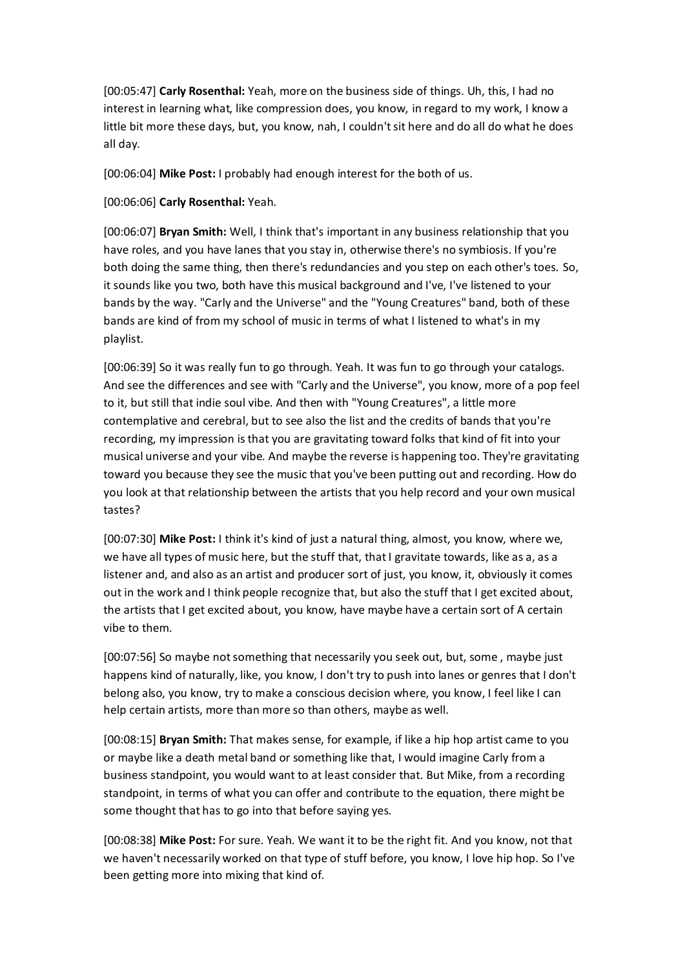[00:05:47] **Carly Rosenthal:** Yeah, more on the business side of things. Uh, this, I had no interest in learning what, like compression does, you know, in regard to my work, I know a little bit more these days, but, you know, nah, I couldn't sit here and do all do what he does all day.

[00:06:04] **Mike Post:** I probably had enough interest for the both of us.

[00:06:06] **Carly Rosenthal:** Yeah.

[00:06:07] **Bryan Smith:** Well, I think that's important in any business relationship that you have roles, and you have lanes that you stay in, otherwise there's no symbiosis. If you're both doing the same thing, then there's redundancies and you step on each other's toes. So, it sounds like you two, both have this musical background and I've, I've listened to your bands by the way. "Carly and the Universe" and the "Young Creatures" band, both of these bands are kind of from my school of music in terms of what I listened to what's in my playlist.

[00:06:39] So it was really fun to go through. Yeah. It was fun to go through your catalogs. And see the differences and see with "Carly and the Universe", you know, more of a pop feel to it, but still that indie soul vibe. And then with "Young Creatures", a little more contemplative and cerebral, but to see also the list and the credits of bands that you're recording, my impression is that you are gravitating toward folks that kind of fit into your musical universe and your vibe. And maybe the reverse is happening too. They're gravitating toward you because they see the music that you've been putting out and recording. How do you look at that relationship between the artists that you help record and your own musical tastes?

[00:07:30] **Mike Post:** I think it's kind of just a natural thing, almost, you know, where we, we have all types of music here, but the stuff that, that I gravitate towards, like as a, as a listener and, and also as an artist and producer sort of just, you know, it, obviously it comes out in the work and I think people recognize that, but also the stuff that I get excited about, the artists that I get excited about, you know, have maybe have a certain sort of A certain vibe to them.

[00:07:56] So maybe not something that necessarily you seek out, but, some , maybe just happens kind of naturally, like, you know, I don't try to push into lanes or genres that I don't belong also, you know, try to make a conscious decision where, you know, I feel like I can help certain artists, more than more so than others, maybe as well.

[00:08:15] **Bryan Smith:** That makes sense, for example, if like a hip hop artist came to you or maybe like a death metal band or something like that, I would imagine Carly from a business standpoint, you would want to at least consider that. But Mike, from a recording standpoint, in terms of what you can offer and contribute to the equation, there might be some thought that has to go into that before saying yes.

[00:08:38] **Mike Post:** For sure. Yeah. We want it to be the right fit. And you know, not that we haven't necessarily worked on that type of stuff before, you know, I love hip hop. So I've been getting more into mixing that kind of.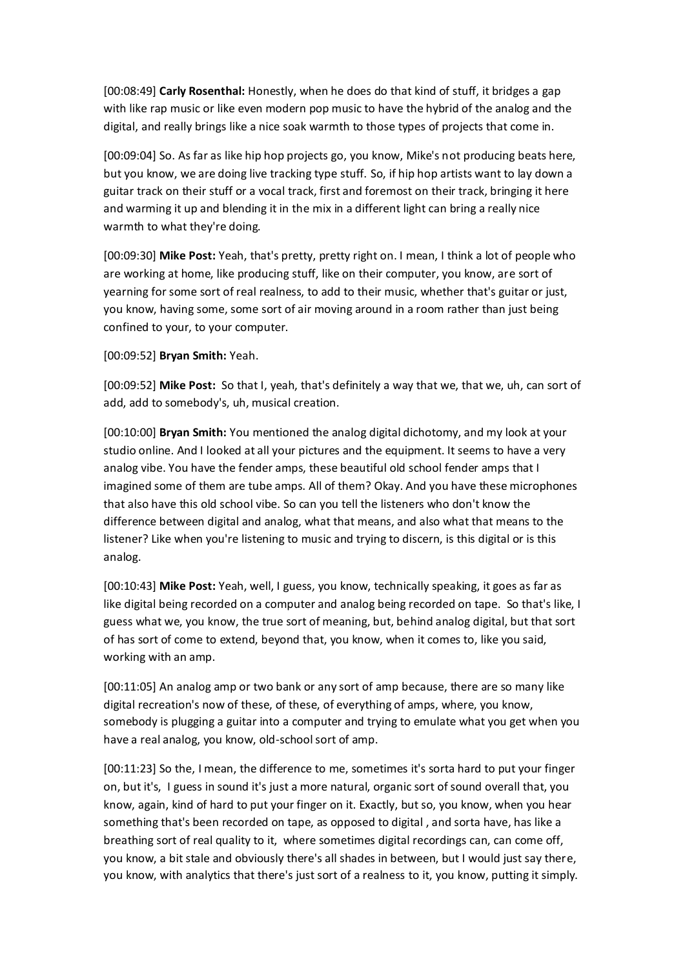[00:08:49] **Carly Rosenthal:** Honestly, when he does do that kind of stuff, it bridges a gap with like rap music or like even modern pop music to have the hybrid of the analog and the digital, and really brings like a nice soak warmth to those types of projects that come in.

[00:09:04] So. As far as like hip hop projects go, you know, Mike's not producing beats here, but you know, we are doing live tracking type stuff. So, if hip hop artists want to lay down a guitar track on their stuff or a vocal track, first and foremost on their track, bringing it here and warming it up and blending it in the mix in a different light can bring a really nice warmth to what they're doing.

[00:09:30] **Mike Post:** Yeah, that's pretty, pretty right on. I mean, I think a lot of people who are working at home, like producing stuff, like on their computer, you know, are sort of yearning for some sort of real realness, to add to their music, whether that's guitar or just, you know, having some, some sort of air moving around in a room rather than just being confined to your, to your computer.

[00:09:52] **Bryan Smith:** Yeah.

[00:09:52] **Mike Post:** So that I, yeah, that's definitely a way that we, that we, uh, can sort of add, add to somebody's, uh, musical creation.

[00:10:00] **Bryan Smith:** You mentioned the analog digital dichotomy, and my look at your studio online. And I looked at all your pictures and the equipment. It seems to have a very analog vibe. You have the fender amps, these beautiful old school fender amps that I imagined some of them are tube amps. All of them? Okay. And you have these microphones that also have this old school vibe. So can you tell the listeners who don't know the difference between digital and analog, what that means, and also what that means to the listener? Like when you're listening to music and trying to discern, is this digital or is this analog.

[00:10:43] **Mike Post:** Yeah, well, I guess, you know, technically speaking, it goes as far as like digital being recorded on a computer and analog being recorded on tape. So that's like, I guess what we, you know, the true sort of meaning, but, behind analog digital, but that sort of has sort of come to extend, beyond that, you know, when it comes to, like you said, working with an amp.

[00:11:05] An analog amp or two bank or any sort of amp because, there are so many like digital recreation's now of these, of these, of everything of amps, where, you know, somebody is plugging a guitar into a computer and trying to emulate what you get when you have a real analog, you know, old-school sort of amp.

[00:11:23] So the, I mean, the difference to me, sometimes it's sorta hard to put your finger on, but it's, I guess in sound it's just a more natural, organic sort of sound overall that, you know, again, kind of hard to put your finger on it. Exactly, but so, you know, when you hear something that's been recorded on tape, as opposed to digital , and sorta have, has like a breathing sort of real quality to it, where sometimes digital recordings can, can come off, you know, a bit stale and obviously there's all shades in between, but I would just say there, you know, with analytics that there's just sort of a realness to it, you know, putting it simply.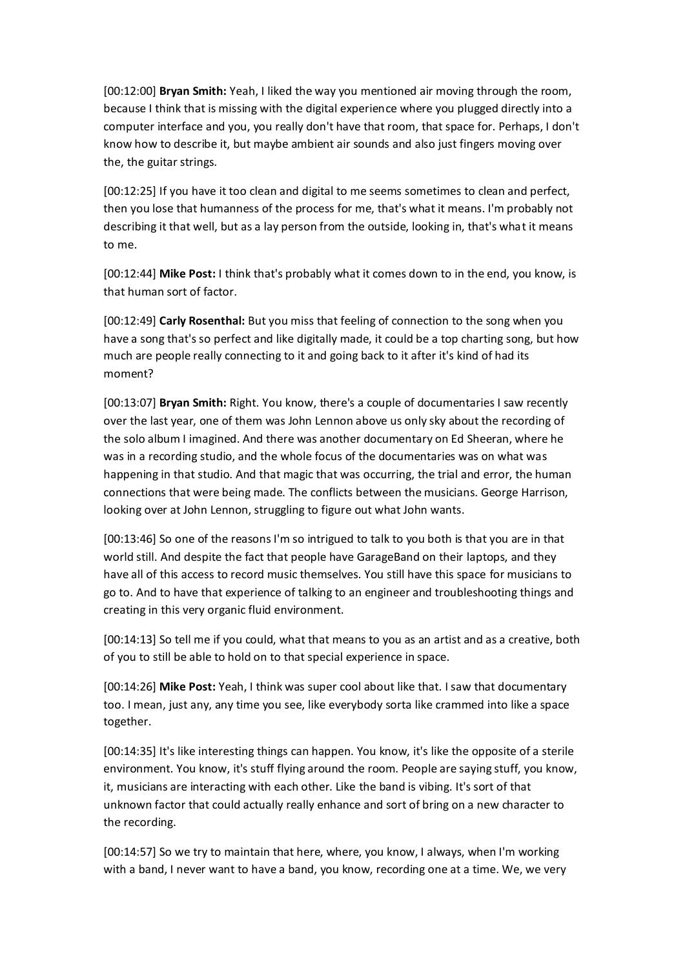[00:12:00] **Bryan Smith:** Yeah, I liked the way you mentioned air moving through the room, because I think that is missing with the digital experience where you plugged directly into a computer interface and you, you really don't have that room, that space for. Perhaps, I don't know how to describe it, but maybe ambient air sounds and also just fingers moving over the, the guitar strings.

[00:12:25] If you have it too clean and digital to me seems sometimes to clean and perfect, then you lose that humanness of the process for me, that's what it means. I'm probably not describing it that well, but as a lay person from the outside, looking in, that's what it means to me.

[00:12:44] **Mike Post:** I think that's probably what it comes down to in the end, you know, is that human sort of factor.

[00:12:49] **Carly Rosenthal:** But you miss that feeling of connection to the song when you have a song that's so perfect and like digitally made, it could be a top charting song, but how much are people really connecting to it and going back to it after it's kind of had its moment?

[00:13:07] **Bryan Smith:** Right. You know, there's a couple of documentaries I saw recently over the last year, one of them was John Lennon above us only sky about the recording of the solo album I imagined. And there was another documentary on Ed Sheeran, where he was in a recording studio, and the whole focus of the documentaries was on what was happening in that studio. And that magic that was occurring, the trial and error, the human connections that were being made. The conflicts between the musicians. George Harrison, looking over at John Lennon, struggling to figure out what John wants.

[00:13:46] So one of the reasons I'm so intrigued to talk to you both is that you are in that world still. And despite the fact that people have GarageBand on their laptops, and they have all of this access to record music themselves. You still have this space for musicians to go to. And to have that experience of talking to an engineer and troubleshooting things and creating in this very organic fluid environment.

[00:14:13] So tell me if you could, what that means to you as an artist and as a creative, both of you to still be able to hold on to that special experience in space.

[00:14:26] **Mike Post:** Yeah, I think was super cool about like that. I saw that documentary too. I mean, just any, any time you see, like everybody sorta like crammed into like a space together.

[00:14:35] It's like interesting things can happen. You know, it's like the opposite of a sterile environment. You know, it's stuff flying around the room. People are saying stuff, you know, it, musicians are interacting with each other. Like the band is vibing. It's sort of that unknown factor that could actually really enhance and sort of bring on a new character to the recording.

[00:14:57] So we try to maintain that here, where, you know, I always, when I'm working with a band, I never want to have a band, you know, recording one at a time. We, we very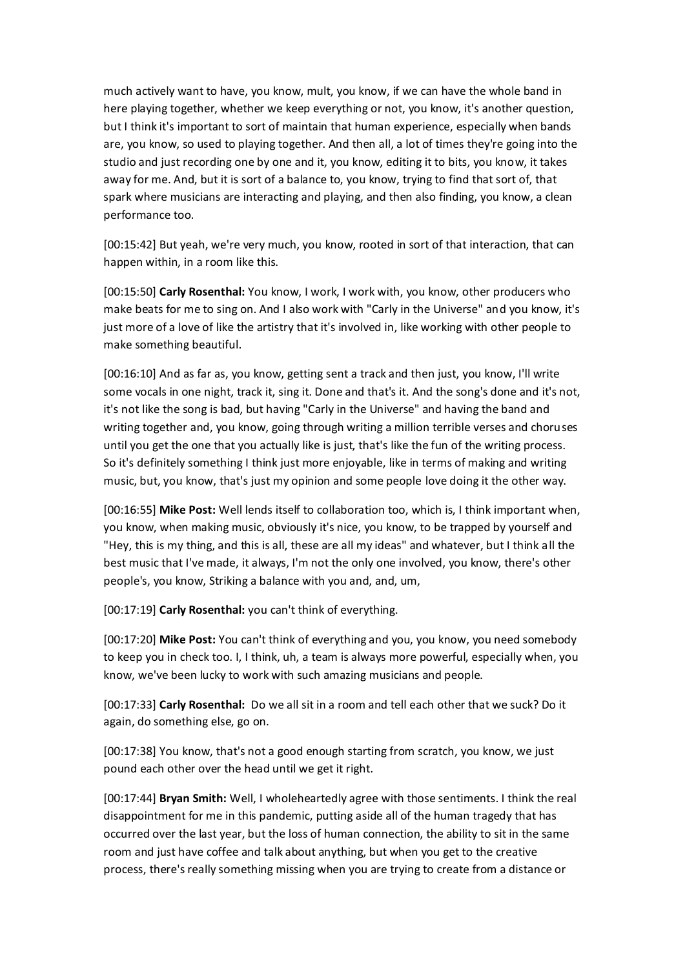much actively want to have, you know, mult, you know, if we can have the whole band in here playing together, whether we keep everything or not, you know, it's another question, but I think it's important to sort of maintain that human experience, especially when bands are, you know, so used to playing together. And then all, a lot of times they're going into the studio and just recording one by one and it, you know, editing it to bits, you know, it takes away for me. And, but it is sort of a balance to, you know, trying to find that sort of, that spark where musicians are interacting and playing, and then also finding, you know, a clean performance too.

[00:15:42] But yeah, we're very much, you know, rooted in sort of that interaction, that can happen within, in a room like this.

[00:15:50] **Carly Rosenthal:** You know, I work, I work with, you know, other producers who make beats for me to sing on. And I also work with "Carly in the Universe" and you know, it's just more of a love of like the artistry that it's involved in, like working with other people to make something beautiful.

[00:16:10] And as far as, you know, getting sent a track and then just, you know, I'll write some vocals in one night, track it, sing it. Done and that's it. And the song's done and it's not, it's not like the song is bad, but having "Carly in the Universe" and having the band and writing together and, you know, going through writing a million terrible verses and choruses until you get the one that you actually like is just, that's like the fun of the writing process. So it's definitely something I think just more enjoyable, like in terms of making and writing music, but, you know, that's just my opinion and some people love doing it the other way.

[00:16:55] **Mike Post:** Well lends itself to collaboration too, which is, I think important when, you know, when making music, obviously it's nice, you know, to be trapped by yourself and "Hey, this is my thing, and this is all, these are all my ideas" and whatever, but I think all the best music that I've made, it always, I'm not the only one involved, you know, there's other people's, you know, Striking a balance with you and, and, um,

[00:17:19] **Carly Rosenthal:** you can't think of everything.

[00:17:20] **Mike Post:** You can't think of everything and you, you know, you need somebody to keep you in check too. I, I think, uh, a team is always more powerful, especially when, you know, we've been lucky to work with such amazing musicians and people.

[00:17:33] **Carly Rosenthal:** Do we all sit in a room and tell each other that we suck? Do it again, do something else, go on.

[00:17:38] You know, that's not a good enough starting from scratch, you know, we just pound each other over the head until we get it right.

[00:17:44] **Bryan Smith:** Well, I wholeheartedly agree with those sentiments. I think the real disappointment for me in this pandemic, putting aside all of the human tragedy that has occurred over the last year, but the loss of human connection, the ability to sit in the same room and just have coffee and talk about anything, but when you get to the creative process, there's really something missing when you are trying to create from a distance or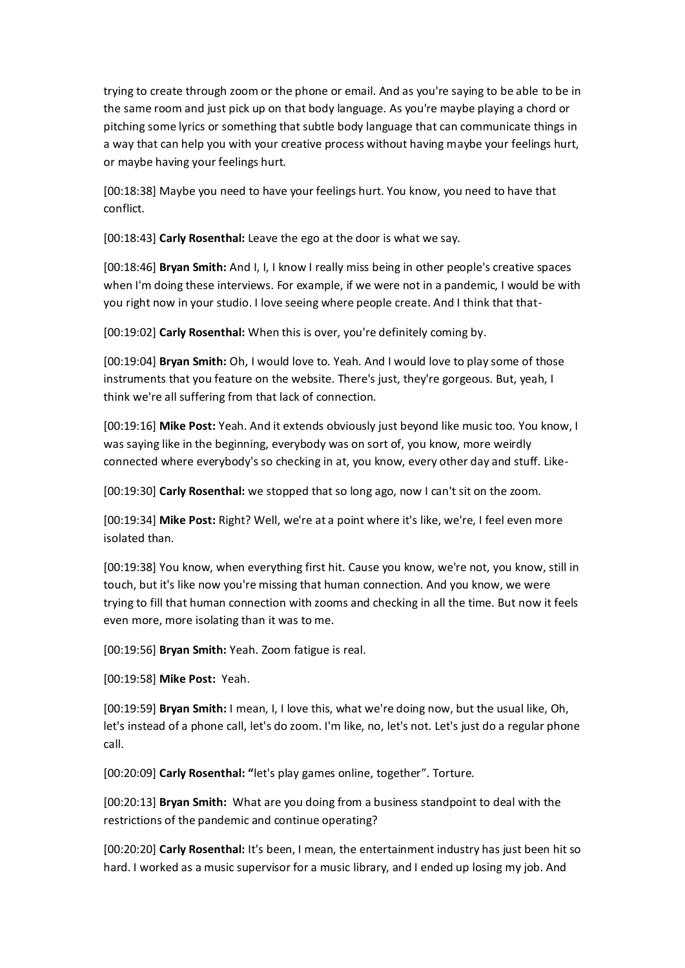trying to create through zoom or the phone or email. And as you're saying to be able to be in the same room and just pick up on that body language. As you're maybe playing a chord or pitching some lyrics or something that subtle body language that can communicate things in a way that can help you with your creative process without having maybe your feelings hurt, or maybe having your feelings hurt.

[00:18:38] Maybe you need to have your feelings hurt. You know, you need to have that conflict.

[00:18:43] **Carly Rosenthal:** Leave the ego at the door is what we say.

[00:18:46] **Bryan Smith:** And I, I, I know I really miss being in other people's creative spaces when I'm doing these interviews. For example, if we were not in a pandemic, I would be with you right now in your studio. I love seeing where people create. And I think that that-

[00:19:02] **Carly Rosenthal:** When this is over, you're definitely coming by.

[00:19:04] **Bryan Smith:** Oh, I would love to. Yeah. And I would love to play some of those instruments that you feature on the website. There's just, they're gorgeous. But, yeah, I think we're all suffering from that lack of connection.

[00:19:16] **Mike Post:** Yeah. And it extends obviously just beyond like music too. You know, I was saying like in the beginning, everybody was on sort of, you know, more weirdly connected where everybody's so checking in at, you know, every other day and stuff. Like-

[00:19:30] **Carly Rosenthal:** we stopped that so long ago, now I can't sit on the zoom.

[00:19:34] **Mike Post:** Right? Well, we're at a point where it's like, we're, I feel even more isolated than.

[00:19:38] You know, when everything first hit. Cause you know, we're not, you know, still in touch, but it's like now you're missing that human connection. And you know, we were trying to fill that human connection with zooms and checking in all the time. But now it feels even more, more isolating than it was to me.

[00:19:56] **Bryan Smith:** Yeah. Zoom fatigue is real.

[00:19:58] **Mike Post:** Yeah.

[00:19:59] **Bryan Smith:** I mean, I, I love this, what we're doing now, but the usual like, Oh, let's instead of a phone call, let's do zoom. I'm like, no, let's not. Let's just do a regular phone call.

[00:20:09] **Carly Rosenthal: "**let's play games online, together". Torture.

[00:20:13] **Bryan Smith:** What are you doing from a business standpoint to deal with the restrictions of the pandemic and continue operating?

[00:20:20] **Carly Rosenthal:** It's been, I mean, the entertainment industry has just been hit so hard. I worked as a music supervisor for a music library, and I ended up losing my job. And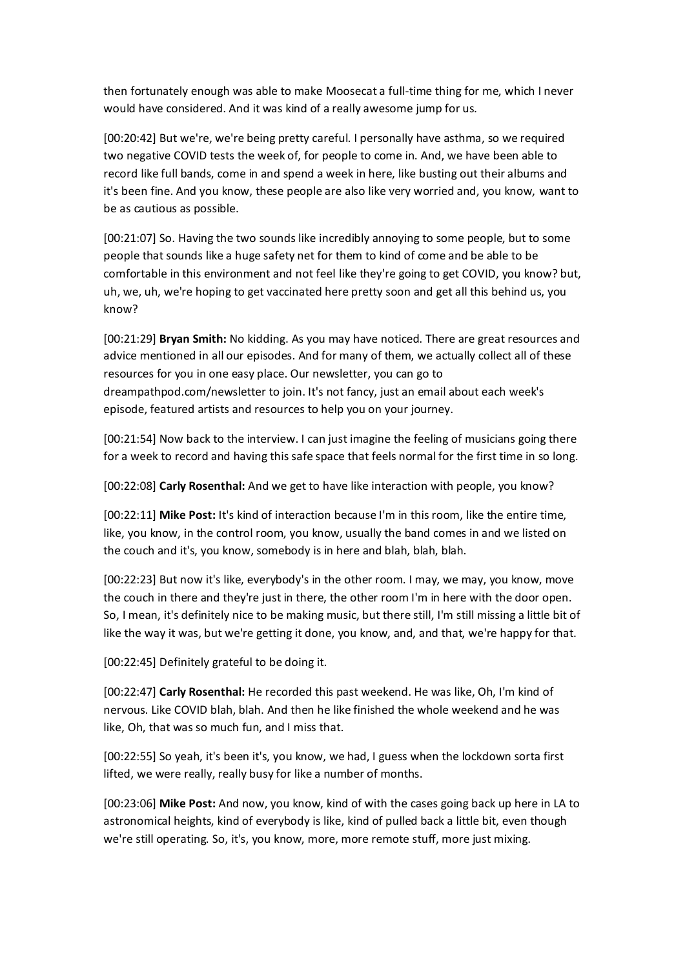then fortunately enough was able to make Moosecat a full-time thing for me, which I never would have considered. And it was kind of a really awesome jump for us.

[00:20:42] But we're, we're being pretty careful. I personally have asthma, so we required two negative COVID tests the week of, for people to come in. And, we have been able to record like full bands, come in and spend a week in here, like busting out their albums and it's been fine. And you know, these people are also like very worried and, you know, want to be as cautious as possible.

[00:21:07] So. Having the two sounds like incredibly annoying to some people, but to some people that sounds like a huge safety net for them to kind of come and be able to be comfortable in this environment and not feel like they're going to get COVID, you know? but, uh, we, uh, we're hoping to get vaccinated here pretty soon and get all this behind us, you know?

[00:21:29] **Bryan Smith:** No kidding. As you may have noticed. There are great resources and advice mentioned in all our episodes. And for many of them, we actually collect all of these resources for you in one easy place. Our newsletter, you can go to dreampathpod.com/newsletter to join. It's not fancy, just an email about each week's episode, featured artists and resources to help you on your journey.

[00:21:54] Now back to the interview. I can just imagine the feeling of musicians going there for a week to record and having this safe space that feels normal for the first time in so long.

[00:22:08] **Carly Rosenthal:** And we get to have like interaction with people, you know?

[00:22:11] **Mike Post:** It's kind of interaction because I'm in this room, like the entire time, like, you know, in the control room, you know, usually the band comes in and we listed on the couch and it's, you know, somebody is in here and blah, blah, blah.

[00:22:23] But now it's like, everybody's in the other room. I may, we may, you know, move the couch in there and they're just in there, the other room I'm in here with the door open. So, I mean, it's definitely nice to be making music, but there still, I'm still missing a little bit of like the way it was, but we're getting it done, you know, and, and that, we're happy for that.

[00:22:45] Definitely grateful to be doing it.

[00:22:47] **Carly Rosenthal:** He recorded this past weekend. He was like, Oh, I'm kind of nervous. Like COVID blah, blah. And then he like finished the whole weekend and he was like, Oh, that was so much fun, and I miss that.

[00:22:55] So yeah, it's been it's, you know, we had, I guess when the lockdown sorta first lifted, we were really, really busy for like a number of months.

[00:23:06] **Mike Post:** And now, you know, kind of with the cases going back up here in LA to astronomical heights, kind of everybody is like, kind of pulled back a little bit, even though we're still operating. So, it's, you know, more, more remote stuff, more just mixing.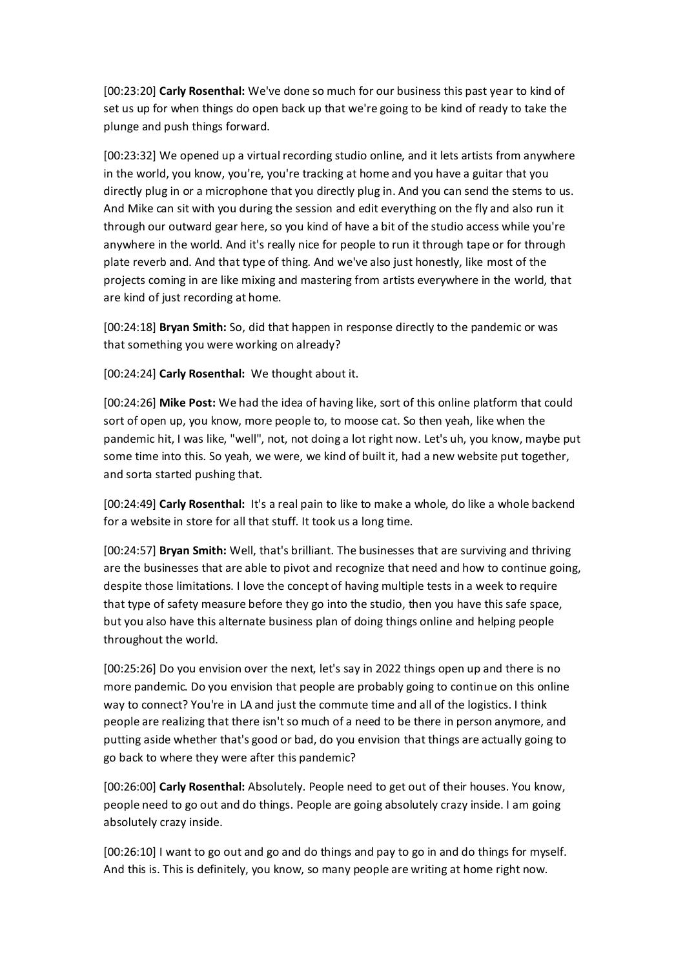[00:23:20] **Carly Rosenthal:** We've done so much for our business this past year to kind of set us up for when things do open back up that we're going to be kind of ready to take the plunge and push things forward.

[00:23:32] We opened up a virtual recording studio online, and it lets artists from anywhere in the world, you know, you're, you're tracking at home and you have a guitar that you directly plug in or a microphone that you directly plug in. And you can send the stems to us. And Mike can sit with you during the session and edit everything on the fly and also run it through our outward gear here, so you kind of have a bit of the studio access while you're anywhere in the world. And it's really nice for people to run it through tape or for through plate reverb and. And that type of thing. And we've also just honestly, like most of the projects coming in are like mixing and mastering from artists everywhere in the world, that are kind of just recording at home.

[00:24:18] **Bryan Smith:** So, did that happen in response directly to the pandemic or was that something you were working on already?

[00:24:24] **Carly Rosenthal:** We thought about it.

[00:24:26] **Mike Post:** We had the idea of having like, sort of this online platform that could sort of open up, you know, more people to, to moose cat. So then yeah, like when the pandemic hit, I was like, "well", not, not doing a lot right now. Let's uh, you know, maybe put some time into this. So yeah, we were, we kind of built it, had a new website put together, and sorta started pushing that.

[00:24:49] **Carly Rosenthal:** It's a real pain to like to make a whole, do like a whole backend for a website in store for all that stuff. It took us a long time.

[00:24:57] **Bryan Smith:** Well, that's brilliant. The businesses that are surviving and thriving are the businesses that are able to pivot and recognize that need and how to continue going, despite those limitations. I love the concept of having multiple tests in a week to require that type of safety measure before they go into the studio, then you have this safe space, but you also have this alternate business plan of doing things online and helping people throughout the world.

[00:25:26] Do you envision over the next, let's say in 2022 things open up and there is no more pandemic. Do you envision that people are probably going to continue on this online way to connect? You're in LA and just the commute time and all of the logistics. I think people are realizing that there isn't so much of a need to be there in person anymore, and putting aside whether that's good or bad, do you envision that things are actually going to go back to where they were after this pandemic?

[00:26:00] **Carly Rosenthal:** Absolutely. People need to get out of their houses. You know, people need to go out and do things. People are going absolutely crazy inside. I am going absolutely crazy inside.

[00:26:10] I want to go out and go and do things and pay to go in and do things for myself. And this is. This is definitely, you know, so many people are writing at home right now.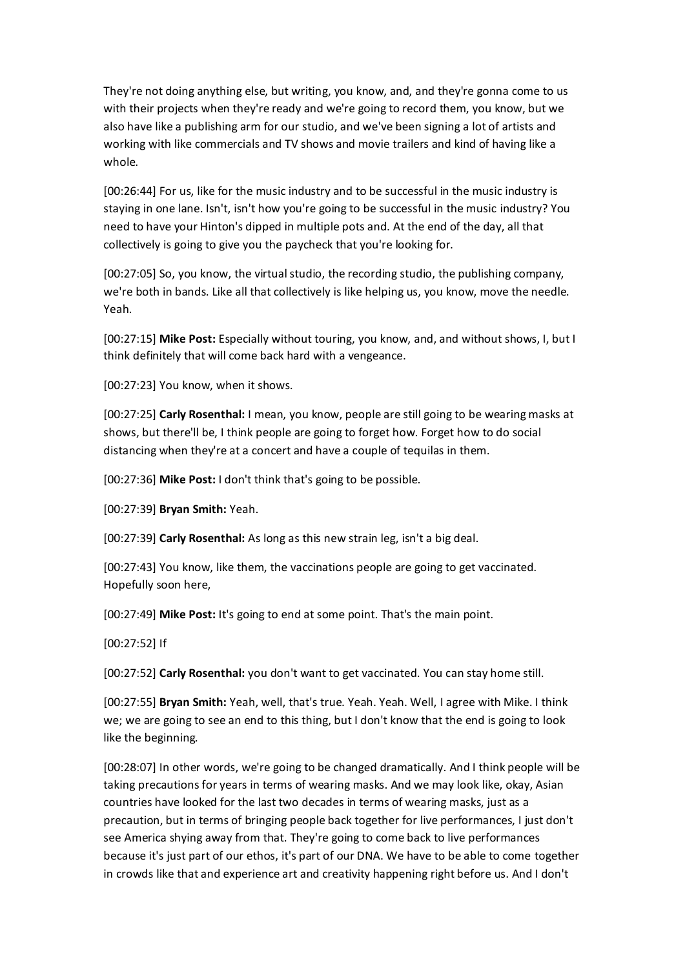They're not doing anything else, but writing, you know, and, and they're gonna come to us with their projects when they're ready and we're going to record them, you know, but we also have like a publishing arm for our studio, and we've been signing a lot of artists and working with like commercials and TV shows and movie trailers and kind of having like a whole.

[00:26:44] For us, like for the music industry and to be successful in the music industry is staying in one lane. Isn't, isn't how you're going to be successful in the music industry? You need to have your Hinton's dipped in multiple pots and. At the end of the day, all that collectively is going to give you the paycheck that you're looking for.

[00:27:05] So, you know, the virtual studio, the recording studio, the publishing company, we're both in bands. Like all that collectively is like helping us, you know, move the needle. Yeah.

[00:27:15] **Mike Post:** Especially without touring, you know, and, and without shows, I, but I think definitely that will come back hard with a vengeance.

[00:27:23] You know, when it shows.

[00:27:25] **Carly Rosenthal:** I mean, you know, people are still going to be wearing masks at shows, but there'll be, I think people are going to forget how. Forget how to do social distancing when they're at a concert and have a couple of tequilas in them.

[00:27:36] **Mike Post:** I don't think that's going to be possible.

[00:27:39] **Bryan Smith:** Yeah.

[00:27:39] **Carly Rosenthal:** As long as this new strain leg, isn't a big deal.

[00:27:43] You know, like them, the vaccinations people are going to get vaccinated. Hopefully soon here,

[00:27:49] **Mike Post:** It's going to end at some point. That's the main point.

[00:27:52] If

[00:27:52] **Carly Rosenthal:** you don't want to get vaccinated. You can stay home still.

[00:27:55] **Bryan Smith:** Yeah, well, that's true. Yeah. Yeah. Well, I agree with Mike. I think we; we are going to see an end to this thing, but I don't know that the end is going to look like the beginning.

[00:28:07] In other words, we're going to be changed dramatically. And I think people will be taking precautions for years in terms of wearing masks. And we may look like, okay, Asian countries have looked for the last two decades in terms of wearing masks, just as a precaution, but in terms of bringing people back together for live performances, I just don't see America shying away from that. They're going to come back to live performances because it's just part of our ethos, it's part of our DNA. We have to be able to come together in crowds like that and experience art and creativity happening right before us. And I don't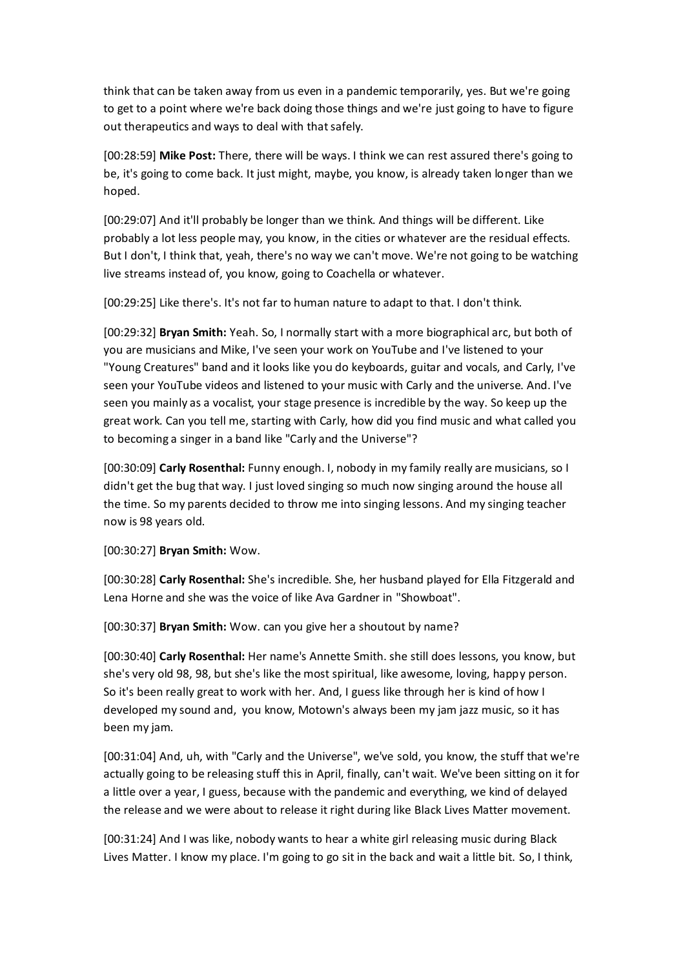think that can be taken away from us even in a pandemic temporarily, yes. But we're going to get to a point where we're back doing those things and we're just going to have to figure out therapeutics and ways to deal with that safely.

[00:28:59] **Mike Post:** There, there will be ways. I think we can rest assured there's going to be, it's going to come back. It just might, maybe, you know, is already taken longer than we hoped.

[00:29:07] And it'll probably be longer than we think. And things will be different. Like probably a lot less people may, you know, in the cities or whatever are the residual effects. But I don't, I think that, yeah, there's no way we can't move. We're not going to be watching live streams instead of, you know, going to Coachella or whatever.

[00:29:25] Like there's. It's not far to human nature to adapt to that. I don't think.

[00:29:32] **Bryan Smith:** Yeah. So, I normally start with a more biographical arc, but both of you are musicians and Mike, I've seen your work on YouTube and I've listened to your "Young Creatures" band and it looks like you do keyboards, guitar and vocals, and Carly, I've seen your YouTube videos and listened to your music with Carly and the universe. And. I've seen you mainly as a vocalist, your stage presence is incredible by the way. So keep up the great work. Can you tell me, starting with Carly, how did you find music and what called you to becoming a singer in a band like "Carly and the Universe"?

[00:30:09] **Carly Rosenthal:** Funny enough. I, nobody in my family really are musicians, so I didn't get the bug that way. I just loved singing so much now singing around the house all the time. So my parents decided to throw me into singing lessons. And my singing teacher now is 98 years old.

[00:30:27] **Bryan Smith:** Wow.

[00:30:28] **Carly Rosenthal:** She's incredible. She, her husband played for Ella Fitzgerald and Lena Horne and she was the voice of like Ava Gardner in "Showboat".

[00:30:37] **Bryan Smith:** Wow. can you give her a shoutout by name?

[00:30:40] **Carly Rosenthal:** Her name's Annette Smith. she still does lessons, you know, but she's very old 98, 98, but she's like the most spiritual, like awesome, loving, happy person. So it's been really great to work with her. And, I guess like through her is kind of how I developed my sound and, you know, Motown's always been my jam jazz music, so it has been my jam.

[00:31:04] And, uh, with "Carly and the Universe", we've sold, you know, the stuff that we're actually going to be releasing stuff this in April, finally, can't wait. We've been sitting on it for a little over a year, I guess, because with the pandemic and everything, we kind of delayed the release and we were about to release it right during like Black Lives Matter movement.

[00:31:24] And I was like, nobody wants to hear a white girl releasing music during Black Lives Matter. I know my place. I'm going to go sit in the back and wait a little bit. So, I think,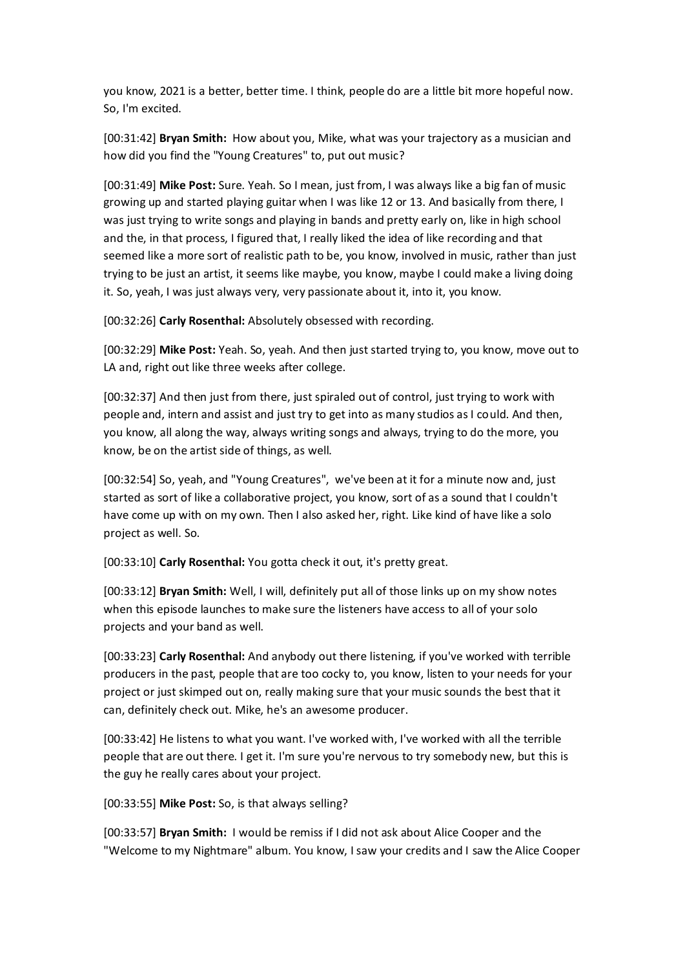you know, 2021 is a better, better time. I think, people do are a little bit more hopeful now. So, I'm excited.

[00:31:42] **Bryan Smith:** How about you, Mike, what was your trajectory as a musician and how did you find the "Young Creatures" to, put out music?

[00:31:49] **Mike Post:** Sure. Yeah. So I mean, just from, I was always like a big fan of music growing up and started playing guitar when I was like 12 or 13. And basically from there, I was just trying to write songs and playing in bands and pretty early on, like in high school and the, in that process, I figured that, I really liked the idea of like recording and that seemed like a more sort of realistic path to be, you know, involved in music, rather than just trying to be just an artist, it seems like maybe, you know, maybe I could make a living doing it. So, yeah, I was just always very, very passionate about it, into it, you know.

[00:32:26] **Carly Rosenthal:** Absolutely obsessed with recording.

[00:32:29] **Mike Post:** Yeah. So, yeah. And then just started trying to, you know, move out to LA and, right out like three weeks after college.

[00:32:37] And then just from there, just spiraled out of control, just trying to work with people and, intern and assist and just try to get into as many studios as I could. And then, you know, all along the way, always writing songs and always, trying to do the more, you know, be on the artist side of things, as well.

[00:32:54] So, yeah, and "Young Creatures", we've been at it for a minute now and, just started as sort of like a collaborative project, you know, sort of as a sound that I couldn't have come up with on my own. Then I also asked her, right. Like kind of have like a solo project as well. So.

[00:33:10] **Carly Rosenthal:** You gotta check it out, it's pretty great.

[00:33:12] **Bryan Smith:** Well, I will, definitely put all of those links up on my show notes when this episode launches to make sure the listeners have access to all of your solo projects and your band as well.

[00:33:23] **Carly Rosenthal:** And anybody out there listening, if you've worked with terrible producers in the past, people that are too cocky to, you know, listen to your needs for your project or just skimped out on, really making sure that your music sounds the best that it can, definitely check out. Mike, he's an awesome producer.

[00:33:42] He listens to what you want. I've worked with, I've worked with all the terrible people that are out there. I get it. I'm sure you're nervous to try somebody new, but this is the guy he really cares about your project.

[00:33:55] **Mike Post:** So, is that always selling?

[00:33:57] **Bryan Smith:** I would be remiss if I did not ask about Alice Cooper and the "Welcome to my Nightmare" album. You know, I saw your credits and I saw the Alice Cooper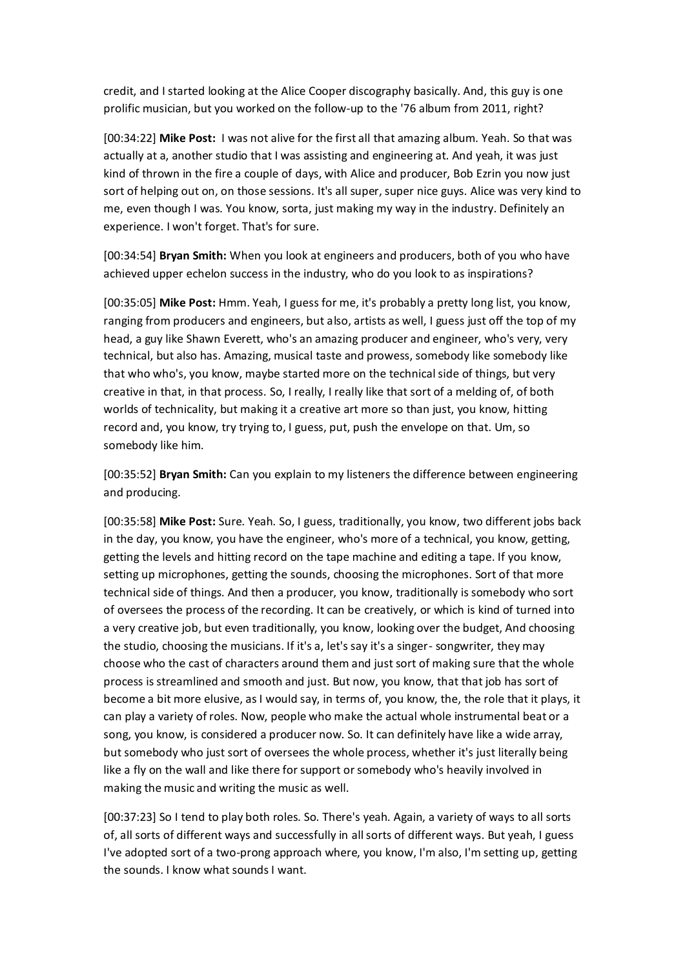credit, and I started looking at the Alice Cooper discography basically. And, this guy is one prolific musician, but you worked on the follow-up to the '76 album from 2011, right?

[00:34:22] **Mike Post:** I was not alive for the first all that amazing album. Yeah. So that was actually at a, another studio that I was assisting and engineering at. And yeah, it was just kind of thrown in the fire a couple of days, with Alice and producer, Bob Ezrin you now just sort of helping out on, on those sessions. It's all super, super nice guys. Alice was very kind to me, even though I was. You know, sorta, just making my way in the industry. Definitely an experience. I won't forget. That's for sure.

[00:34:54] **Bryan Smith:** When you look at engineers and producers, both of you who have achieved upper echelon success in the industry, who do you look to as inspirations?

[00:35:05] **Mike Post:** Hmm. Yeah, I guess for me, it's probably a pretty long list, you know, ranging from producers and engineers, but also, artists as well, I guess just off the top of my head, a guy like Shawn Everett, who's an amazing producer and engineer, who's very, very technical, but also has. Amazing, musical taste and prowess, somebody like somebody like that who who's, you know, maybe started more on the technical side of things, but very creative in that, in that process. So, I really, I really like that sort of a melding of, of both worlds of technicality, but making it a creative art more so than just, you know, hitting record and, you know, try trying to, I guess, put, push the envelope on that. Um, so somebody like him.

[00:35:52] **Bryan Smith:** Can you explain to my listeners the difference between engineering and producing.

[00:35:58] **Mike Post:** Sure. Yeah. So, I guess, traditionally, you know, two different jobs back in the day, you know, you have the engineer, who's more of a technical, you know, getting, getting the levels and hitting record on the tape machine and editing a tape. If you know, setting up microphones, getting the sounds, choosing the microphones. Sort of that more technical side of things. And then a producer, you know, traditionally is somebody who sort of oversees the process of the recording. It can be creatively, or which is kind of turned into a very creative job, but even traditionally, you know, looking over the budget, And choosing the studio, choosing the musicians. If it's a, let's say it's a singer- songwriter, they may choose who the cast of characters around them and just sort of making sure that the whole process is streamlined and smooth and just. But now, you know, that that job has sort of become a bit more elusive, as I would say, in terms of, you know, the, the role that it plays, it can play a variety of roles. Now, people who make the actual whole instrumental beat or a song, you know, is considered a producer now. So. It can definitely have like a wide array, but somebody who just sort of oversees the whole process, whether it's just literally being like a fly on the wall and like there for support or somebody who's heavily involved in making the music and writing the music as well.

[00:37:23] So I tend to play both roles. So. There's yeah. Again, a variety of ways to all sorts of, all sorts of different ways and successfully in all sorts of different ways. But yeah, I guess I've adopted sort of a two-prong approach where, you know, I'm also, I'm setting up, getting the sounds. I know what sounds I want.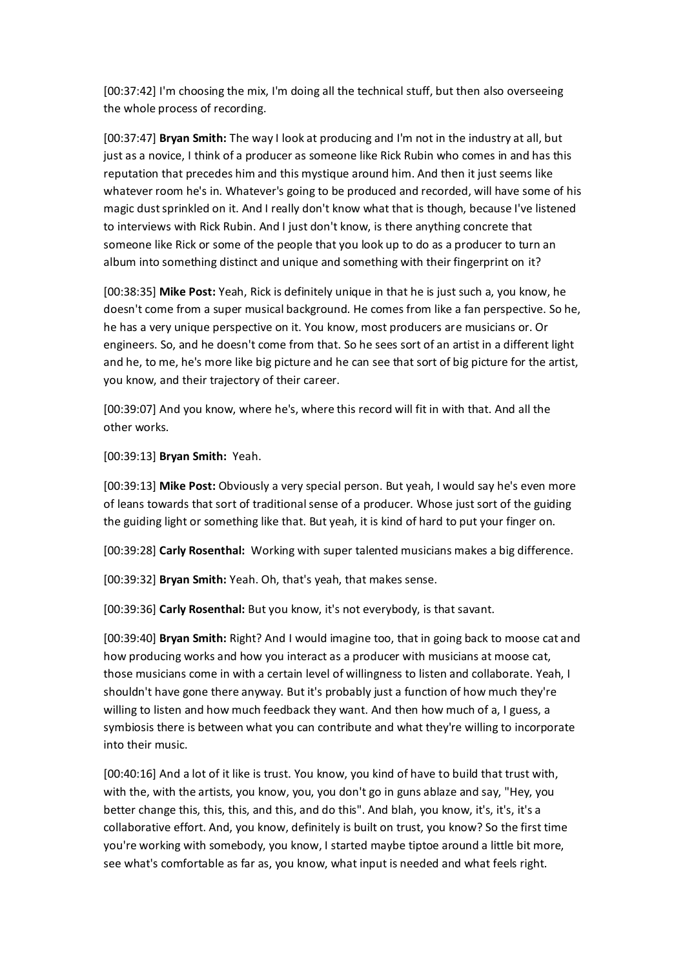[00:37:42] I'm choosing the mix, I'm doing all the technical stuff, but then also overseeing the whole process of recording.

[00:37:47] **Bryan Smith:** The way I look at producing and I'm not in the industry at all, but just as a novice, I think of a producer as someone like Rick Rubin who comes in and has this reputation that precedes him and this mystique around him. And then it just seems like whatever room he's in. Whatever's going to be produced and recorded, will have some of his magic dust sprinkled on it. And I really don't know what that is though, because I've listened to interviews with Rick Rubin. And I just don't know, is there anything concrete that someone like Rick or some of the people that you look up to do as a producer to turn an album into something distinct and unique and something with their fingerprint on it?

[00:38:35] **Mike Post:** Yeah, Rick is definitely unique in that he is just such a, you know, he doesn't come from a super musical background. He comes from like a fan perspective. So he, he has a very unique perspective on it. You know, most producers are musicians or. Or engineers. So, and he doesn't come from that. So he sees sort of an artist in a different light and he, to me, he's more like big picture and he can see that sort of big picture for the artist, you know, and their trajectory of their career.

[00:39:07] And you know, where he's, where this record will fit in with that. And all the other works.

[00:39:13] **Bryan Smith:** Yeah.

[00:39:13] **Mike Post:** Obviously a very special person. But yeah, I would say he's even more of leans towards that sort of traditional sense of a producer. Whose just sort of the guiding the guiding light or something like that. But yeah, it is kind of hard to put your finger on.

[00:39:28] **Carly Rosenthal:** Working with super talented musicians makes a big difference.

[00:39:32] **Bryan Smith:** Yeah. Oh, that's yeah, that makes sense.

[00:39:36] **Carly Rosenthal:** But you know, it's not everybody, is that savant.

[00:39:40] **Bryan Smith:** Right? And I would imagine too, that in going back to moose cat and how producing works and how you interact as a producer with musicians at moose cat, those musicians come in with a certain level of willingness to listen and collaborate. Yeah, I shouldn't have gone there anyway. But it's probably just a function of how much they're willing to listen and how much feedback they want. And then how much of a, I guess, a symbiosis there is between what you can contribute and what they're willing to incorporate into their music.

[00:40:16] And a lot of it like is trust. You know, you kind of have to build that trust with, with the, with the artists, you know, you, you don't go in guns ablaze and say, "Hey, you better change this, this, this, and this, and do this". And blah, you know, it's, it's, it's a collaborative effort. And, you know, definitely is built on trust, you know? So the first time you're working with somebody, you know, I started maybe tiptoe around a little bit more, see what's comfortable as far as, you know, what input is needed and what feels right.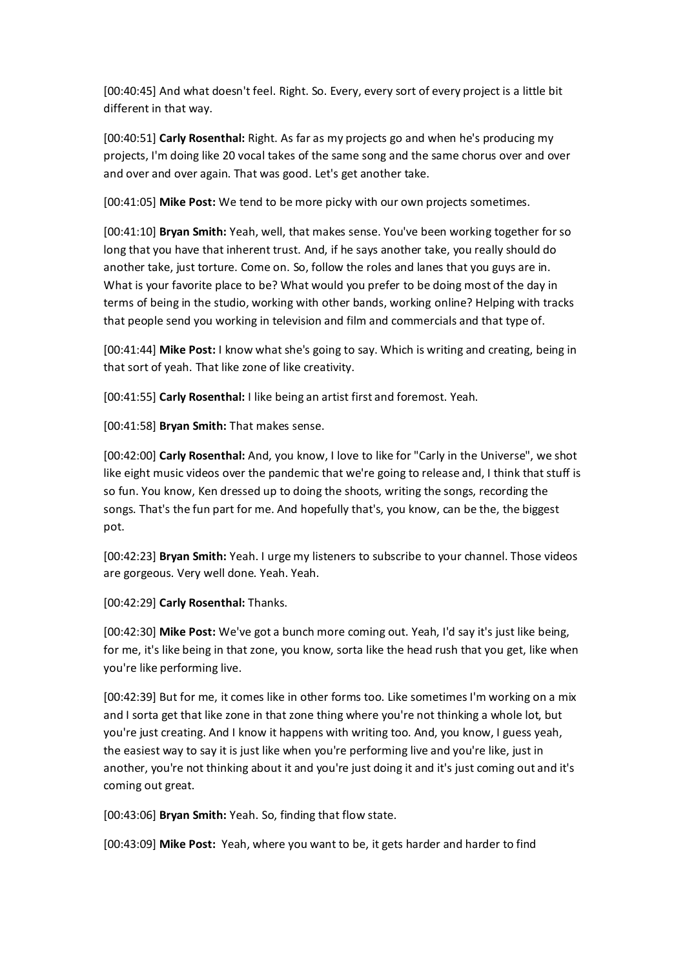[00:40:45] And what doesn't feel. Right. So. Every, every sort of every project is a little bit different in that way.

[00:40:51] **Carly Rosenthal:** Right. As far as my projects go and when he's producing my projects, I'm doing like 20 vocal takes of the same song and the same chorus over and over and over and over again. That was good. Let's get another take.

[00:41:05] **Mike Post:** We tend to be more picky with our own projects sometimes.

[00:41:10] **Bryan Smith:** Yeah, well, that makes sense. You've been working together for so long that you have that inherent trust. And, if he says another take, you really should do another take, just torture. Come on. So, follow the roles and lanes that you guys are in. What is your favorite place to be? What would you prefer to be doing most of the day in terms of being in the studio, working with other bands, working online? Helping with tracks that people send you working in television and film and commercials and that type of.

[00:41:44] **Mike Post:** I know what she's going to say. Which is writing and creating, being in that sort of yeah. That like zone of like creativity.

[00:41:55] **Carly Rosenthal:** I like being an artist first and foremost. Yeah.

[00:41:58] **Bryan Smith:** That makes sense.

[00:42:00] **Carly Rosenthal:** And, you know, I love to like for "Carly in the Universe", we shot like eight music videos over the pandemic that we're going to release and, I think that stuff is so fun. You know, Ken dressed up to doing the shoots, writing the songs, recording the songs. That's the fun part for me. And hopefully that's, you know, can be the, the biggest pot.

[00:42:23] **Bryan Smith:** Yeah. I urge my listeners to subscribe to your channel. Those videos are gorgeous. Very well done. Yeah. Yeah.

[00:42:29] **Carly Rosenthal:** Thanks.

[00:42:30] **Mike Post:** We've got a bunch more coming out. Yeah, I'd say it's just like being, for me, it's like being in that zone, you know, sorta like the head rush that you get, like when you're like performing live.

[00:42:39] But for me, it comes like in other forms too. Like sometimes I'm working on a mix and I sorta get that like zone in that zone thing where you're not thinking a whole lot, but you're just creating. And I know it happens with writing too. And, you know, I guess yeah, the easiest way to say it is just like when you're performing live and you're like, just in another, you're not thinking about it and you're just doing it and it's just coming out and it's coming out great.

[00:43:06] **Bryan Smith:** Yeah. So, finding that flow state.

[00:43:09] **Mike Post:** Yeah, where you want to be, it gets harder and harder to find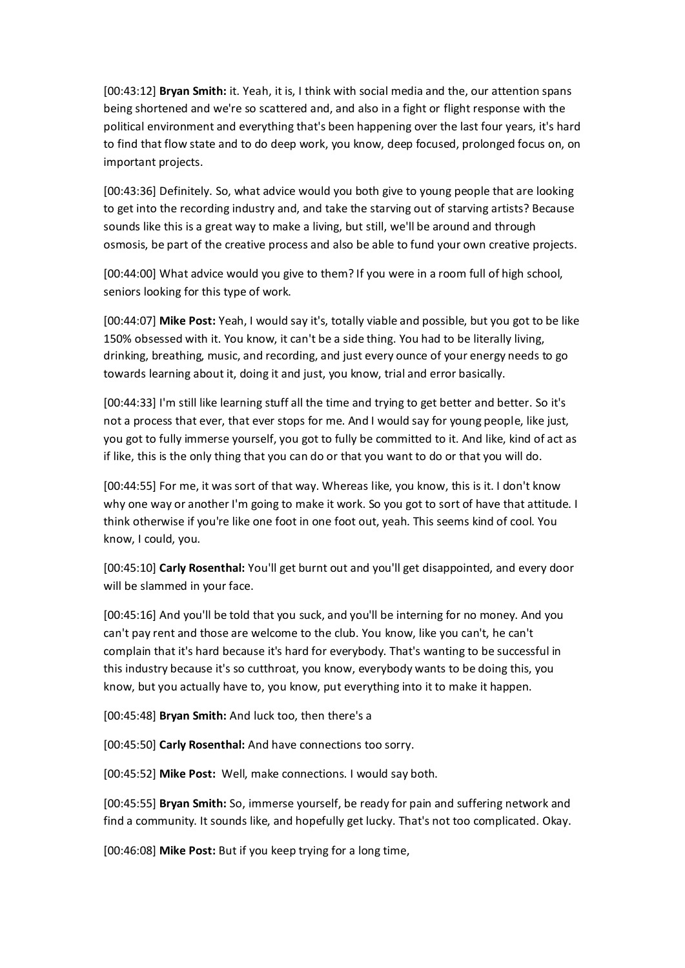[00:43:12] **Bryan Smith:** it. Yeah, it is, I think with social media and the, our attention spans being shortened and we're so scattered and, and also in a fight or flight response with the political environment and everything that's been happening over the last four years, it's hard to find that flow state and to do deep work, you know, deep focused, prolonged focus on, on important projects.

[00:43:36] Definitely. So, what advice would you both give to young people that are looking to get into the recording industry and, and take the starving out of starving artists? Because sounds like this is a great way to make a living, but still, we'll be around and through osmosis, be part of the creative process and also be able to fund your own creative projects.

[00:44:00] What advice would you give to them? If you were in a room full of high school, seniors looking for this type of work.

[00:44:07] **Mike Post:** Yeah, I would say it's, totally viable and possible, but you got to be like 150% obsessed with it. You know, it can't be a side thing. You had to be literally living, drinking, breathing, music, and recording, and just every ounce of your energy needs to go towards learning about it, doing it and just, you know, trial and error basically.

[00:44:33] I'm still like learning stuff all the time and trying to get better and better. So it's not a process that ever, that ever stops for me. And I would say for young people, like just, you got to fully immerse yourself, you got to fully be committed to it. And like, kind of act as if like, this is the only thing that you can do or that you want to do or that you will do.

[00:44:55] For me, it was sort of that way. Whereas like, you know, this is it. I don't know why one way or another I'm going to make it work. So you got to sort of have that attitude. I think otherwise if you're like one foot in one foot out, yeah. This seems kind of cool. You know, I could, you.

[00:45:10] **Carly Rosenthal:** You'll get burnt out and you'll get disappointed, and every door will be slammed in your face.

[00:45:16] And you'll be told that you suck, and you'll be interning for no money. And you can't pay rent and those are welcome to the club. You know, like you can't, he can't complain that it's hard because it's hard for everybody. That's wanting to be successful in this industry because it's so cutthroat, you know, everybody wants to be doing this, you know, but you actually have to, you know, put everything into it to make it happen.

[00:45:48] **Bryan Smith:** And luck too, then there's a

[00:45:50] **Carly Rosenthal:** And have connections too sorry.

[00:45:52] **Mike Post:** Well, make connections. I would say both.

[00:45:55] **Bryan Smith:** So, immerse yourself, be ready for pain and suffering network and find a community. It sounds like, and hopefully get lucky. That's not too complicated. Okay.

[00:46:08] **Mike Post:** But if you keep trying for a long time,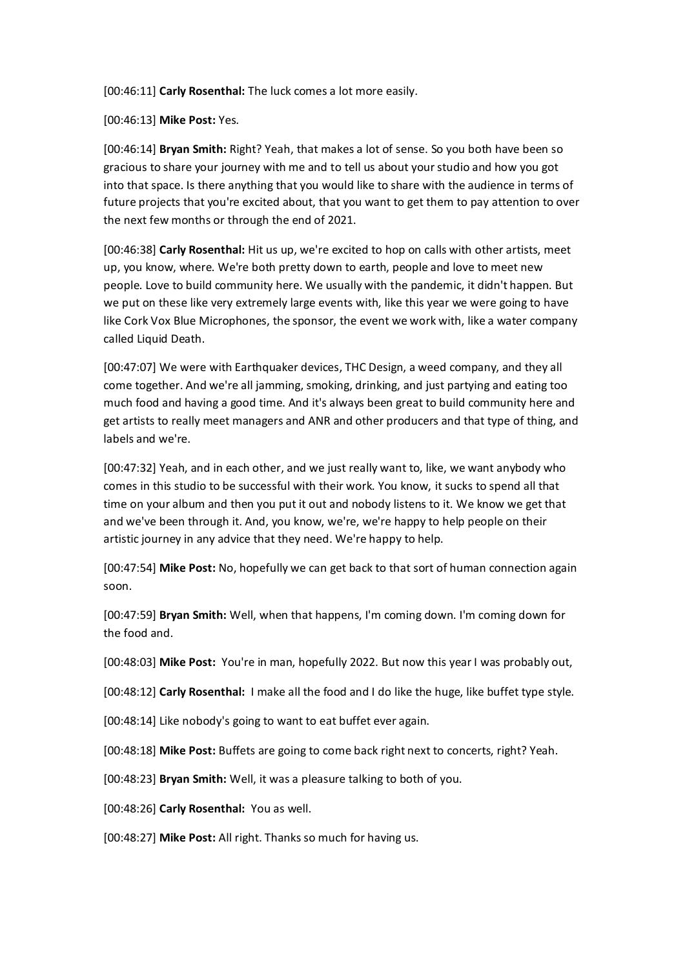[00:46:11] **Carly Rosenthal:** The luck comes a lot more easily.

[00:46:13] **Mike Post:** Yes.

[00:46:14] **Bryan Smith:** Right? Yeah, that makes a lot of sense. So you both have been so gracious to share your journey with me and to tell us about your studio and how you got into that space. Is there anything that you would like to share with the audience in terms of future projects that you're excited about, that you want to get them to pay attention to over the next few months or through the end of 2021.

[00:46:38] **Carly Rosenthal:** Hit us up, we're excited to hop on calls with other artists, meet up, you know, where. We're both pretty down to earth, people and love to meet new people. Love to build community here. We usually with the pandemic, it didn't happen. But we put on these like very extremely large events with, like this year we were going to have like Cork Vox Blue Microphones, the sponsor, the event we work with, like a water company called Liquid Death.

[00:47:07] We were with Earthquaker devices, THC Design, a weed company, and they all come together. And we're all jamming, smoking, drinking, and just partying and eating too much food and having a good time. And it's always been great to build community here and get artists to really meet managers and ANR and other producers and that type of thing, and labels and we're.

[00:47:32] Yeah, and in each other, and we just really want to, like, we want anybody who comes in this studio to be successful with their work. You know, it sucks to spend all that time on your album and then you put it out and nobody listens to it. We know we get that and we've been through it. And, you know, we're, we're happy to help people on their artistic journey in any advice that they need. We're happy to help.

[00:47:54] **Mike Post:** No, hopefully we can get back to that sort of human connection again soon.

[00:47:59] **Bryan Smith:** Well, when that happens, I'm coming down. I'm coming down for the food and.

[00:48:03] **Mike Post:** You're in man, hopefully 2022. But now this year I was probably out,

[00:48:12] **Carly Rosenthal:** I make all the food and I do like the huge, like buffet type style.

[00:48:14] Like nobody's going to want to eat buffet ever again.

[00:48:18] **Mike Post:** Buffets are going to come back right next to concerts, right? Yeah.

[00:48:23] **Bryan Smith:** Well, it was a pleasure talking to both of you.

[00:48:26] **Carly Rosenthal:** You as well.

[00:48:27] **Mike Post:** All right. Thanks so much for having us.